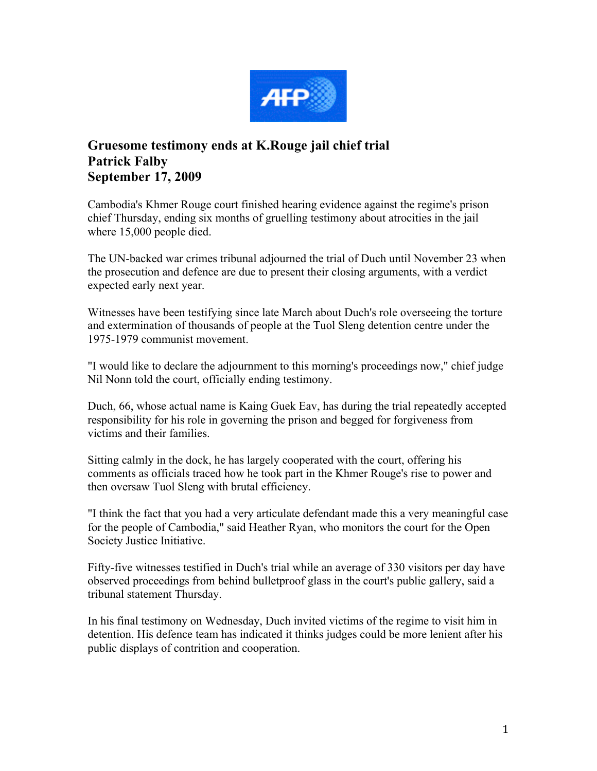

## **Gruesome testimony ends at K.Rouge jail chief trial Patrick Falby September 17, 2009**

Cambodia's Khmer Rouge court finished hearing evidence against the regime's prison chief Thursday, ending six months of gruelling testimony about atrocities in the jail where 15,000 people died.

The UN-backed war crimes tribunal adjourned the trial of Duch until November 23 when the prosecution and defence are due to present their closing arguments, with a verdict expected early next year.

Witnesses have been testifying since late March about Duch's role overseeing the torture and extermination of thousands of people at the Tuol Sleng detention centre under the 1975-1979 communist movement.

"I would like to declare the adjournment to this morning's proceedings now," chief judge Nil Nonn told the court, officially ending testimony.

Duch, 66, whose actual name is Kaing Guek Eav, has during the trial repeatedly accepted responsibility for his role in governing the prison and begged for forgiveness from victims and their families.

Sitting calmly in the dock, he has largely cooperated with the court, offering his comments as officials traced how he took part in the Khmer Rouge's rise to power and then oversaw Tuol Sleng with brutal efficiency.

"I think the fact that you had a very articulate defendant made this a very meaningful case for the people of Cambodia," said Heather Ryan, who monitors the court for the Open Society Justice Initiative.

Fifty-five witnesses testified in Duch's trial while an average of 330 visitors per day have observed proceedings from behind bulletproof glass in the court's public gallery, said a tribunal statement Thursday.

In his final testimony on Wednesday, Duch invited victims of the regime to visit him in detention. His defence team has indicated it thinks judges could be more lenient after his public displays of contrition and cooperation.